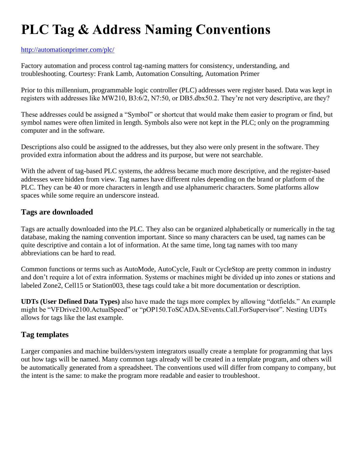# **PLC Tag & Address Naming Conventions**

#### <http://automationprimer.com/plc/>

Factory automation and process control tag-naming matters for consistency, understanding, and troubleshooting. Courtesy: Frank Lamb, Automation Consulting, Automation Primer

Prior to this millennium, programmable logic controller (PLC) addresses were register based. Data was kept in registers with addresses like MW210, B3:6/2, N7:50, or DB5.dbx50.2. They're not very descriptive, are they?

These addresses could be assigned a "Symbol" or shortcut that would make them easier to program or find, but symbol names were often limited in length. Symbols also were not kept in the PLC; only on the programming computer and in the software.

Descriptions also could be assigned to the addresses, but they also were only present in the software. They provided extra information about the address and its purpose, but were not searchable.

With the advent of tag-based PLC systems, the address became much more descriptive, and the register-based addresses were hidden from view. Tag names have different rules depending on the brand or platform of the PLC. They can be 40 or more characters in length and use alphanumeric characters. Some platforms allow spaces while some require an underscore instead.

## **Tags are downloaded**

Tags are actually downloaded into the PLC. They also can be organized alphabetically or numerically in the tag database, making the naming convention important. Since so many characters can be used, tag names can be quite descriptive and contain a lot of information. At the same time, long tag names with too many abbreviations can be hard to read.

Common functions or terms such as AutoMode, AutoCycle, Fault or CycleStop are pretty common in industry and don't require a lot of extra information. Systems or machines might be divided up into zones or stations and labeled Zone2, Cell15 or Station003, these tags could take a bit more documentation or description.

**UDTs (User Defined Data Types)** also have made the tags more complex by allowing "dotfields." An example might be "VFDrive2100.ActualSpeed" or "pOP150.ToSCADA.SEvents.Call.ForSupervisor". Nesting UDTs allows for tags like the last example.

## **Tag templates**

Larger companies and machine builders/system integrators usually create a template for programming that lays out how tags will be named. Many common tags already will be created in a template program, and others will be automatically generated from a spreadsheet. The conventions used will differ from company to company, but the intent is the same: to make the program more readable and easier to troubleshoot.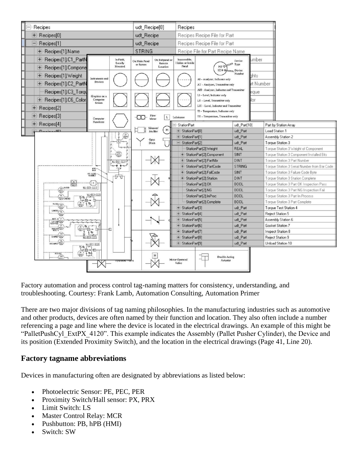

Factory automation and process control tag-naming matters for consistency, understanding, and troubleshooting. Courtesy: Frank Lamb, Automation Consulting, Automation Primer

There are two major divisions of tag naming philosophies. In the manufacturing industries such as automotive and other products, devices are often named by their function and location. They also often include a number referencing a page and line where the device is located in the electrical drawings. An example of this might be "PalletPushCyl\_ExtPX\_4120". This example indicates the Assembly (Pallet Pusher Cylinder), the Device and its position (Extended Proximity Switch), and the location in the electrical drawings (Page 41, Line 20).

#### **Factory tagname abbreviations**

Devices in manufacturing often are designated by abbreviations as listed below:

- Photoelectric Sensor: PE, PEC, PER
- Proximity Switch/Hall sensor: PX, PRX
- Limit Switch: LS
- Master Control Relay: MCR
- Pushbutton: PB, hPB (HMI)
- Switch: SW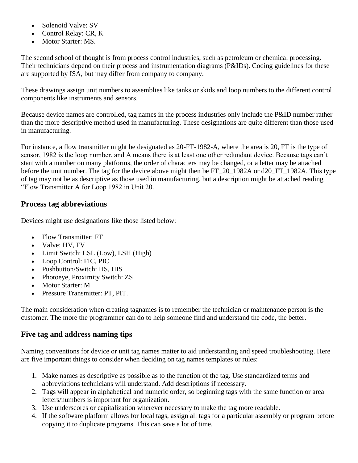- Solenoid Valve: SV
- Control Relay: CR, K
- Motor Starter: MS.

The second school of thought is from process control industries, such as petroleum or chemical processing. Their technicians depend on their process and instrumentation diagrams (P&IDs). Coding guidelines for these are supported by ISA, but may differ from company to company.

These drawings assign unit numbers to assemblies like tanks or skids and loop numbers to the different control components like instruments and sensors.

Because device names are controlled, tag names in the process industries only include the P&ID number rather than the more descriptive method used in manufacturing. These designations are quite different than those used in manufacturing.

For instance, a flow transmitter might be designated as 20-FT-1982-A, where the area is 20, FT is the type of sensor, 1982 is the loop number, and A means there is at least one other redundant device. Because tags can't start with a number on many platforms, the order of characters may be changed, or a letter may be attached before the unit number. The tag for the device above might then be FT\_20\_1982A or d20\_FT\_1982A. This type of tag may not be as descriptive as those used in manufacturing, but a description might be attached reading "Flow Transmitter A for Loop 1982 in Unit 20.

## **Process tag abbreviations**

Devices might use designations like those listed below:

- Flow Transmitter: FT
- Valve: HV, FV
- Limit Switch: LSL (Low), LSH (High)
- Loop Control: FIC, PIC
- Pushbutton/Switch: HS, HIS
- Photoeye, Proximity Switch: ZS
- Motor Starter: M
- Pressure Transmitter: PT, PIT.

The main consideration when creating tagnames is to remember the technician or maintenance person is the customer. The more the programmer can do to help someone find and understand the code, the better.

## **Five tag and address naming tips**

Naming conventions for device or unit tag names matter to aid understanding and speed troubleshooting. Here are five important things to consider when deciding on tag names templates or rules:

- 1. Make names as descriptive as possible as to the function of the tag. Use standardized terms and abbreviations technicians will understand. Add descriptions if necessary.
- 2. Tags will appear in alphabetical and numeric order, so beginning tags with the same function or area letters/numbers is important for organization.
- 3. Use underscores or capitalization wherever necessary to make the tag more readable.
- 4. If the software platform allows for local tags, assign all tags for a particular assembly or program before copying it to duplicate programs. This can save a lot of time.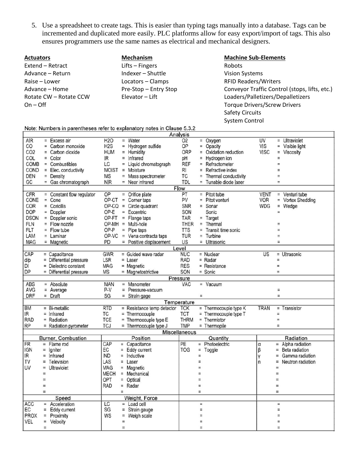5. Use a spreadsheet to create tags. This is easier than typing tags manually into a database. Tags can be incremented and duplicated more easily. PLC platforms allow for easy export/import of tags. This also ensures programmers use the same names as electrical and mechanical designers.

| <b>Actuators</b>       | <b>Mechanism</b> |
|------------------------|------------------|
| Extend – Retract       | Lifts – Fingers  |
| Advance – Return       | Indexer - Shu    |
| Raise – Lower          | Locators – Cla   |
| Advance – Home         | Pre-Stop – En    |
| Rotate CW – Rotate CCW | Elevator - Lift  |
| $On - Off$             |                  |

VEL

= Velocity

 $\equiv$ 

 $\equiv$ 

 $\equiv$ 

uttle lamps ntry Stop

**Machine Sub-Elements** Robots Vision Systems RFID Readers/Writers Conveyor Traffic Control (stops, lifts, etc.) Loaders/Palletizers/Depalletizers Torque Drivers/Screw Drivers Safety Circuits System Control

 $\equiv$ 

 $\equiv$ 

|                 | Note: Numbers in parentheses refer to explanatory notes in Clause 5.3.2 |                         |                  |          |                            |                          |          |                         |             |          |                   |
|-----------------|-------------------------------------------------------------------------|-------------------------|------------------|----------|----------------------------|--------------------------|----------|-------------------------|-------------|----------|-------------------|
|                 |                                                                         |                         |                  |          |                            | Analysis                 |          |                         |             |          |                   |
| AR              |                                                                         | $=$ Excess air          | <b>H2O</b>       |          | $=$ Water                  | O <sub>2</sub>           | $=$      | Oxygen                  | <b>UV</b>   | $=$      | Ultraviolet       |
| CO              | $=$                                                                     | Carbon monoxide         | H <sub>2</sub> S |          | = Hydrogen sulfide         | OP                       | Ξ        | Opacity                 | VIS         | Ξ        | Visible light     |
| CO <sub>2</sub> |                                                                         | = Carbon dioxide        | <b>HUM</b>       |          | = Humidity                 | ORP                      | $\equiv$ | Oxidation reduction     | VISC        | $=$      | Viscosity         |
| COL             |                                                                         | $=$ Color               | IR               |          | $=$ Infrared               | pH                       | Ξ        | Hydrogen ion            |             | $=$      |                   |
| COMB            |                                                                         | $=$ Combustibles        | LC               |          | = Liquid chromatograph     | REF                      | $=$      | Refractometer           |             | $=$      |                   |
| COND            |                                                                         | $=$ Elec. conductivity  | <b>MOIST</b>     | $\equiv$ | Moisture                   | RI                       | $=$      | Refractive index        |             | $=$      |                   |
| DEN             |                                                                         | $=$ Density             | <b>MS</b>        | $=$      | Mass spectrometer          | ТC                       | Ξ        | Thermal conductivity    |             | $=$      |                   |
| GC              |                                                                         | = Gas chromatograph     | <b>NR</b>        | $=$      | Near infrared              | <b>TDL</b>               | $=$      | Tunable diode laser     |             | $=$      |                   |
|                 |                                                                         |                         |                  |          |                            | Flow                     |          |                         |             |          |                   |
| CFR             | $\equiv$                                                                | Constant flow regulator | OP               | $\equiv$ | Orifice plate              | PT                       | $=$      | Pitot tube              | <b>VENT</b> | $\equiv$ | Venturi tube      |
| CONE            |                                                                         | $=$ Cone                | OP-CT            |          | $=$ Corner taps            | PV                       | $=$      | Pitot venturi           | <b>VOR</b>  | $=$      | Vortex Shedding   |
| COR             |                                                                         | $=$ Coriollis           | $OP-CQ =$        |          | Circle quadrant            | SNR                      |          | $=$ Sonar               | <b>WDG</b>  | $=$      | Wedge             |
| <b>DOP</b>      |                                                                         | $=$ Doppler             | OP-E             |          | = Eccentric                | SON                      |          | Sonic                   |             | $=$      |                   |
| <b>DSON</b>     |                                                                         | = Doppler sonic         | OP-FT            |          | $=$ Flange taps            | <b>TAR</b>               | $\equiv$ | Target                  |             |          |                   |
| <b>FLN</b>      |                                                                         | $=$ Flow nozzle         | OP-MH            | $\equiv$ | Multi-hole                 | THER                     | $\equiv$ | Thermal                 |             |          |                   |
| <b>FLT</b>      |                                                                         | $=$ Flow tube           | OP-P             |          | $=$ Pipe taps              | <b>TTS</b>               | $=$      | Transit time sonic      |             | $=$      |                   |
| LAM             |                                                                         | $=$ Laminar             | OP-VC            |          | $=$ Vena contracta taps    | <b>TUR</b>               | $=$      | Turbine                 |             | $=$      |                   |
| MAG             |                                                                         | $=$ Magnetic            | PD               |          | Positive displacement      | US                       |          | = Ultrasonic            |             | Ξ        |                   |
|                 |                                                                         |                         |                  |          |                            | Level                    |          |                         |             |          |                   |
| CAP             |                                                                         | $=$ Capacitance         | GWR              |          | = Guided wave radar        | <b>NUC</b>               |          | $=$ Nuclear             | US          |          | = Ultrasonic      |
| d/p             |                                                                         | = Differential pressure | LSR              |          | $=$ Laser                  | <b>RAD</b>               |          | $=$ Radar               |             | $=$      |                   |
| DI              |                                                                         | $=$ Dielectric constant | MAG              |          | $=$ Magnetic               | <b>RES</b>               |          | = Resistance            |             | $\equiv$ |                   |
| DP              |                                                                         | = Differential pressure | <b>MS</b>        |          | = Magnetostrictive         | SON                      |          | $=$ Sonic               |             | $=$      |                   |
|                 |                                                                         |                         |                  |          |                            | Pressure                 |          |                         |             |          |                   |
| ABS             |                                                                         | $=$ Absolute            | <b>MAN</b>       | $\equiv$ | Manometer                  | VAC                      | H        | Vacuum                  |             |          |                   |
| AVG             |                                                                         | $=$ Average             | P-V              |          | = Pressure-vacuum          |                          |          |                         |             | Ξ        |                   |
| <b>DRF</b>      |                                                                         | $=$ Draft               | SG               |          |                            |                          | $\equiv$ |                         |             | $=$      |                   |
|                 |                                                                         |                         |                  |          | $=$ Strain gage            |                          |          |                         |             |          |                   |
| <b>BM</b>       |                                                                         | $= Bi$ -metallic        | <b>RTD</b>       |          |                            | Temperature              |          |                         | <b>TRAN</b> |          |                   |
| IR              |                                                                         |                         | <b>TC</b>        |          | = Resistance temp detector | <b>TCK</b><br><b>TCT</b> |          | = Thermocouple type K   |             | $=$      | $=$ Transistor    |
|                 |                                                                         | $=$ Infrared            |                  |          | = Thermocouple             |                          |          | $=$ Thermocouple type T |             |          |                   |
| <b>RAD</b>      |                                                                         | $=$ Radiation           | <b>TCE</b>       |          | = Thermocouple type E      | <b>THRM</b>              |          | $=$ Thermistor          |             | $\equiv$ |                   |
| <b>RP</b>       |                                                                         | = Radiation pyrometer   | <b>TCJ</b>       |          | = Thermocouple type J      | <b>TMP</b>               |          | = Thermopile            |             | $\equiv$ |                   |
|                 |                                                                         |                         |                  |          |                            | <b>Miscellaneous</b>     |          |                         |             |          |                   |
|                 |                                                                         | Burner, Combustion      |                  |          | Position                   |                          |          | Quantity                |             |          | Radiation         |
| FR              | H                                                                       | Flame rod               | CAP              | $=$      | Capacitance                | PE                       | $=$      | Photoelectric           | α           | $=$      | Alpha radiation   |
| <b>IGN</b>      |                                                                         | $=$ Igniter             | EC               |          | = Eddy current             | <b>TOG</b>               | $\equiv$ | Toggle                  | β           | $=$      | Beta radiation    |
| IR              | $\equiv$                                                                | Infrared                | <b>IND</b>       | $=$      | Inductive                  |                          | $\equiv$ |                         | γ           | Ξ        | Gamma radiation   |
| TV              | $=$                                                                     | Television              | LAS              |          | $=$ Laser                  |                          | Ξ        |                         | n           | $\equiv$ | Neutron radiation |
| UV              | $\equiv$                                                                | Ultraviolet             | MAG              | $=$      | Magnetic                   |                          |          |                         |             | $=$      |                   |
|                 | $\equiv$                                                                |                         | <b>MECH</b>      | $=$      | Mechanical                 |                          |          |                         |             | $\equiv$ |                   |
|                 | $=$                                                                     |                         | OPT              | $=$      | Optical                    |                          | $=$      |                         |             | $=$      |                   |
|                 | $=$                                                                     |                         | <b>RAD</b>       |          | $=$ Radar                  |                          | $\equiv$ |                         |             | $=$      |                   |
|                 | $\equiv$                                                                |                         |                  | $\equiv$ |                            |                          | $=$      |                         |             | $=$      |                   |
|                 |                                                                         | Speed                   |                  |          | Weight, Force              |                          |          |                         |             |          |                   |
| ACC             | $=$                                                                     | Acceleration            | LC               |          | Load cell                  |                          | $\equiv$ |                         |             | $=$      |                   |
| ЕC              | $\equiv$                                                                | Eddy current            | SG               | $=$      | Strain gauge               |                          | $\equiv$ |                         |             | Ξ        |                   |
| <b>PROX</b>     | $=$                                                                     | Proximity               | WS               |          | = Weigh scale              |                          | $\equiv$ |                         |             | $=$      |                   |

 $\equiv$ 

 $\equiv$